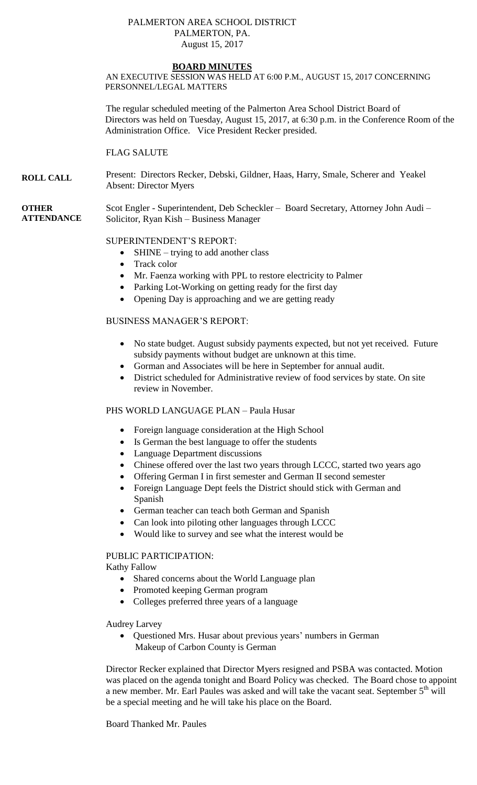### PALMERTON AREA SCHOOL DISTRICT PALMERTON, PA. August 15, 2017

### **BOARD MINUTES**

AN EXECUTIVE SESSION WAS HELD AT 6:00 P.M., AUGUST 15, 2017 CONCERNING PERSONNEL/LEGAL MATTERS

The regular scheduled meeting of the Palmerton Area School District Board of Directors was held on Tuesday, August 15, 2017, at 6:30 p.m. in the Conference Room of the Administration Office. Vice President Recker presided.

FLAG SALUTE

**ROLL CALL** Present: Directors Recker, Debski, Gildner, Haas, Harry, Smale, Scherer and Yeakel Absent: Director Myers

**OTHER ATTENDANCE** Scot Engler - Superintendent, Deb Scheckler – Board Secretary, Attorney John Audi – Solicitor, Ryan Kish – Business Manager

### SUPERINTENDENT'S REPORT:

- $\bullet$  SHINE trying to add another class
- Track color
- Mr. Faenza working with PPL to restore electricity to Palmer
- Parking Lot-Working on getting ready for the first day
- Opening Day is approaching and we are getting ready

# BUSINESS MANAGER'S REPORT:

- No state budget. August subsidy payments expected, but not yet received. Future subsidy payments without budget are unknown at this time.
- Gorman and Associates will be here in September for annual audit.
- District scheduled for Administrative review of food services by state. On site review in November.

### PHS WORLD LANGUAGE PLAN – Paula Husar

- Foreign language consideration at the High School
- Is German the best language to offer the students
- Language Department discussions
- Chinese offered over the last two years through LCCC, started two years ago
- Offering German I in first semester and German II second semester
- Foreign Language Dept feels the District should stick with German and Spanish
- German teacher can teach both German and Spanish
- Can look into piloting other languages through LCCC
- Would like to survey and see what the interest would be

### PUBLIC PARTICIPATION:

Kathy Fallow

- Shared concerns about the World Language plan
- Promoted keeping German program
- Colleges preferred three years of a language

Audrey Larvey

 Questioned Mrs. Husar about previous years' numbers in German Makeup of Carbon County is German

Director Recker explained that Director Myers resigned and PSBA was contacted. Motion was placed on the agenda tonight and Board Policy was checked. The Board chose to appoint a new member. Mr. Earl Paules was asked and will take the vacant seat. September 5<sup>th</sup> will be a special meeting and he will take his place on the Board.

Board Thanked Mr. Paules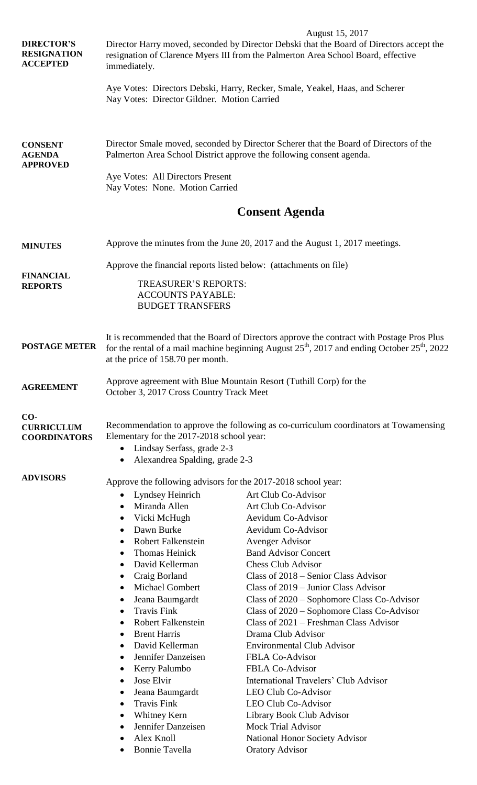| <b>DIRECTOR'S</b><br><b>RESIGNATION</b><br><b>ACCEPTED</b> | August 15, 2017<br>Director Harry moved, seconded by Director Debski that the Board of Directors accept the<br>resignation of Clarence Myers III from the Palmerton Area School Board, effective<br>immediately.                         |                                                                                          |  |  |
|------------------------------------------------------------|------------------------------------------------------------------------------------------------------------------------------------------------------------------------------------------------------------------------------------------|------------------------------------------------------------------------------------------|--|--|
|                                                            | Nay Votes: Director Gildner. Motion Carried                                                                                                                                                                                              | Aye Votes: Directors Debski, Harry, Recker, Smale, Yeakel, Haas, and Scherer             |  |  |
| <b>CONSENT</b><br><b>AGENDA</b><br><b>APPROVED</b>         | Director Smale moved, seconded by Director Scherer that the Board of Directors of the<br>Palmerton Area School District approve the following consent agenda.                                                                            |                                                                                          |  |  |
|                                                            | Aye Votes: All Directors Present<br>Nay Votes: None. Motion Carried                                                                                                                                                                      |                                                                                          |  |  |
|                                                            |                                                                                                                                                                                                                                          | <b>Consent Agenda</b>                                                                    |  |  |
| <b>MINUTES</b>                                             | Approve the minutes from the June 20, 2017 and the August 1, 2017 meetings.                                                                                                                                                              |                                                                                          |  |  |
| <b>FINANCIAL</b><br><b>REPORTS</b>                         | Approve the financial reports listed below: (attachments on file)                                                                                                                                                                        |                                                                                          |  |  |
|                                                            | <b>TREASURER'S REPORTS:</b><br><b>ACCOUNTS PAYABLE:</b><br><b>BUDGET TRANSFERS</b>                                                                                                                                                       |                                                                                          |  |  |
| <b>POSTAGE METER</b>                                       | It is recommended that the Board of Directors approve the contract with Postage Pros Plus<br>for the rental of a mail machine beginning August $25^{th}$ , 2017 and ending October $25^{th}$ , 2022<br>at the price of 158.70 per month. |                                                                                          |  |  |
| <b>AGREEMENT</b>                                           | Approve agreement with Blue Mountain Resort (Tuthill Corp) for the<br>October 3, 2017 Cross Country Track Meet                                                                                                                           |                                                                                          |  |  |
| $CO-$<br><b>CURRICULUM</b><br><b>COORDINATORS</b>          | Recommendation to approve the following as co-curriculum coordinators at Towamensing<br>Elementary for the 2017-2018 school year:<br>Lindsay Serfass, grade 2-3<br>Alexandrea Spalding, grade 2-3                                        |                                                                                          |  |  |
| <b>ADVISORS</b>                                            | Approve the following advisors for the 2017-2018 school year:                                                                                                                                                                            |                                                                                          |  |  |
|                                                            | Lyndsey Heinrich<br>$\bullet$                                                                                                                                                                                                            | Art Club Co-Advisor                                                                      |  |  |
|                                                            | Miranda Allen<br>$\bullet$                                                                                                                                                                                                               | Art Club Co-Advisor                                                                      |  |  |
|                                                            | Vicki McHugh<br>٠                                                                                                                                                                                                                        | Aevidum Co-Advisor                                                                       |  |  |
|                                                            | Dawn Burke<br>$\bullet$                                                                                                                                                                                                                  | Aevidum Co-Advisor                                                                       |  |  |
|                                                            | <b>Robert Falkenstein</b><br>$\bullet$                                                                                                                                                                                                   | <b>Avenger Advisor</b>                                                                   |  |  |
|                                                            | Thomas Heinick<br>$\bullet$                                                                                                                                                                                                              | <b>Band Advisor Concert</b>                                                              |  |  |
|                                                            | David Kellerman<br>$\bullet$                                                                                                                                                                                                             | <b>Chess Club Advisor</b>                                                                |  |  |
|                                                            | Craig Borland<br>٠                                                                                                                                                                                                                       | Class of 2018 – Senior Class Advisor                                                     |  |  |
|                                                            | <b>Michael Gombert</b><br>$\bullet$                                                                                                                                                                                                      | Class of $2019$ – Junior Class Advisor                                                   |  |  |
|                                                            | Jeana Baumgardt<br>$\bullet$<br><b>Travis Fink</b><br>$\bullet$                                                                                                                                                                          | Class of 2020 – Sophomore Class Co-Advisor<br>Class of 2020 – Sophomore Class Co-Advisor |  |  |
|                                                            | <b>Robert Falkenstein</b><br>$\bullet$                                                                                                                                                                                                   | Class of 2021 – Freshman Class Advisor                                                   |  |  |
|                                                            | <b>Brent Harris</b><br>$\bullet$                                                                                                                                                                                                         | Drama Club Advisor                                                                       |  |  |
|                                                            | David Kellerman<br>$\bullet$                                                                                                                                                                                                             | <b>Environmental Club Advisor</b>                                                        |  |  |
|                                                            | Jennifer Danzeisen<br>$\bullet$                                                                                                                                                                                                          | FBLA Co-Advisor                                                                          |  |  |
|                                                            | Kerry Palumbo<br>٠                                                                                                                                                                                                                       | <b>FBLA Co-Advisor</b>                                                                   |  |  |
|                                                            | Jose Elvir<br>$\bullet$                                                                                                                                                                                                                  | International Travelers' Club Advisor                                                    |  |  |
|                                                            | Jeana Baumgardt<br>٠<br><b>Travis Fink</b><br>$\bullet$                                                                                                                                                                                  | <b>LEO Club Co-Advisor</b><br><b>LEO Club Co-Advisor</b>                                 |  |  |
|                                                            | Whitney Kern                                                                                                                                                                                                                             | Library Book Club Advisor                                                                |  |  |
|                                                            | Jennifer Danzeisen                                                                                                                                                                                                                       | <b>Mock Trial Advisor</b>                                                                |  |  |
|                                                            | Alex Knoll                                                                                                                                                                                                                               | <b>National Honor Society Advisor</b>                                                    |  |  |
|                                                            | <b>Bonnie Tavella</b>                                                                                                                                                                                                                    | <b>Oratory Advisor</b>                                                                   |  |  |
|                                                            |                                                                                                                                                                                                                                          |                                                                                          |  |  |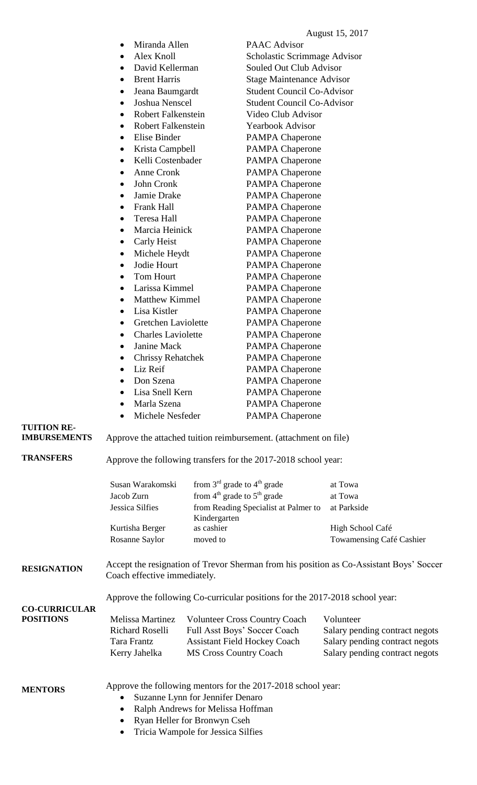|                      | Miranda Allen                                                         | <b>PAAC</b> Advisor                                                          |                                                                                         |  |
|----------------------|-----------------------------------------------------------------------|------------------------------------------------------------------------------|-----------------------------------------------------------------------------------------|--|
|                      | Alex Knoll                                                            |                                                                              | Scholastic Scrimmage Advisor                                                            |  |
|                      | David Kellerman                                                       | Souled Out Club Advisor                                                      |                                                                                         |  |
|                      | <b>Brent Harris</b><br>$\bullet$                                      | <b>Stage Maintenance Advisor</b>                                             |                                                                                         |  |
|                      | Jeana Baumgardt                                                       |                                                                              | <b>Student Council Co-Advisor</b>                                                       |  |
|                      | Joshua Nenscel                                                        |                                                                              | <b>Student Council Co-Advisor</b>                                                       |  |
|                      | <b>Robert Falkenstein</b><br>$\bullet$                                | Video Club Advisor                                                           |                                                                                         |  |
|                      | <b>Robert Falkenstein</b>                                             | <b>Yearbook Advisor</b>                                                      |                                                                                         |  |
|                      | Elise Binder                                                          | <b>PAMPA Chaperone</b>                                                       |                                                                                         |  |
|                      | Krista Campbell                                                       | <b>PAMPA Chaperone</b>                                                       |                                                                                         |  |
|                      | Kelli Costenbader                                                     |                                                                              |                                                                                         |  |
|                      | Anne Cronk                                                            | <b>PAMPA Chaperone</b>                                                       |                                                                                         |  |
|                      |                                                                       | <b>PAMPA Chaperone</b>                                                       |                                                                                         |  |
|                      | John Cronk                                                            | <b>PAMPA Chaperone</b>                                                       |                                                                                         |  |
|                      | Jamie Drake                                                           | <b>PAMPA Chaperone</b>                                                       |                                                                                         |  |
|                      | Frank Hall<br>$\bullet$                                               | <b>PAMPA Chaperone</b>                                                       |                                                                                         |  |
|                      | Teresa Hall                                                           | <b>PAMPA Chaperone</b>                                                       |                                                                                         |  |
|                      | Marcia Heinick<br>$\bullet$                                           | <b>PAMPA Chaperone</b>                                                       |                                                                                         |  |
|                      | Carly Heist                                                           | <b>PAMPA Chaperone</b>                                                       |                                                                                         |  |
|                      | Michele Heydt<br>٠                                                    | <b>PAMPA Chaperone</b>                                                       |                                                                                         |  |
|                      | Jodie Hourt<br>٠                                                      | <b>PAMPA Chaperone</b>                                                       |                                                                                         |  |
|                      | Tom Hourt                                                             | <b>PAMPA Chaperone</b>                                                       |                                                                                         |  |
|                      | Larissa Kimmel                                                        | <b>PAMPA Chaperone</b>                                                       |                                                                                         |  |
|                      | Matthew Kimmel<br>$\bullet$                                           | <b>PAMPA Chaperone</b>                                                       |                                                                                         |  |
|                      | Lisa Kistler                                                          | <b>PAMPA Chaperone</b>                                                       |                                                                                         |  |
|                      | Gretchen Laviolette                                                   | <b>PAMPA Chaperone</b>                                                       |                                                                                         |  |
|                      | <b>Charles Laviolette</b>                                             | <b>PAMPA Chaperone</b>                                                       |                                                                                         |  |
|                      | Janine Mack<br>٠                                                      | <b>PAMPA Chaperone</b>                                                       |                                                                                         |  |
|                      | <b>Chrissy Rehatchek</b>                                              | <b>PAMPA Chaperone</b>                                                       |                                                                                         |  |
|                      | Liz Reif                                                              | <b>PAMPA Chaperone</b>                                                       |                                                                                         |  |
|                      | Don Szena                                                             | <b>PAMPA Chaperone</b>                                                       |                                                                                         |  |
|                      | Lisa Snell Kern                                                       | <b>PAMPA Chaperone</b>                                                       |                                                                                         |  |
|                      | Marla Szena                                                           | <b>PAMPA Chaperone</b>                                                       |                                                                                         |  |
|                      | Michele Nesfeder                                                      | <b>PAMPA Chaperone</b>                                                       |                                                                                         |  |
| <b>TUITION RE-</b>   |                                                                       |                                                                              |                                                                                         |  |
| <b>IMBURSEMENTS</b>  |                                                                       | Approve the attached tuition reimbursement. (attachment on file)             |                                                                                         |  |
|                      |                                                                       |                                                                              |                                                                                         |  |
| <b>TRANSFERS</b>     | Approve the following transfers for the 2017-2018 school year:        |                                                                              |                                                                                         |  |
|                      | Susan Warakomski                                                      | from $3rd$ grade to $4th$ grade                                              | at Towa                                                                                 |  |
|                      | Jacob Zurn                                                            | from $4th$ grade to $5th$ grade                                              | at Towa                                                                                 |  |
|                      | Jessica Silfies                                                       | from Reading Specialist at Palmer to                                         | at Parkside                                                                             |  |
|                      |                                                                       | Kindergarten                                                                 |                                                                                         |  |
|                      | Kurtisha Berger                                                       | as cashier                                                                   | High School Café                                                                        |  |
|                      | Rosanne Saylor                                                        | moved to                                                                     | Towamensing Café Cashier                                                                |  |
| <b>RESIGNATION</b>   | Coach effective immediately.                                          |                                                                              | Accept the resignation of Trevor Sherman from his position as Co-Assistant Boys' Soccer |  |
|                      |                                                                       | Approve the following Co-curricular positions for the 2017-2018 school year: |                                                                                         |  |
| <b>CO-CURRICULAR</b> |                                                                       |                                                                              |                                                                                         |  |
| <b>POSITIONS</b>     | Melissa Martinez                                                      | <b>Volunteer Cross Country Coach</b>                                         | Volunteer                                                                               |  |
|                      | Richard Roselli                                                       | Full Asst Boys' Soccer Coach                                                 | Salary pending contract negots                                                          |  |
|                      | Tara Frantz                                                           | <b>Assistant Field Hockey Coach</b>                                          | Salary pending contract negots                                                          |  |
|                      | Kerry Jahelka                                                         | <b>MS Cross Country Coach</b>                                                | Salary pending contract negots                                                          |  |
|                      |                                                                       |                                                                              |                                                                                         |  |
| <b>MENTORS</b>       | Approve the following mentors for the 2017-2018 school year:          |                                                                              |                                                                                         |  |
|                      | Suzanne Lynn for Jennifer Denaro<br>Ralph Andrews for Melissa Hoffman |                                                                              |                                                                                         |  |
|                      |                                                                       |                                                                              |                                                                                         |  |

- Ralph Andrews for Melissa Hoffman
- Ryan Heller for Bronwyn Cseh
- Tricia Wampole for Jessica Silfies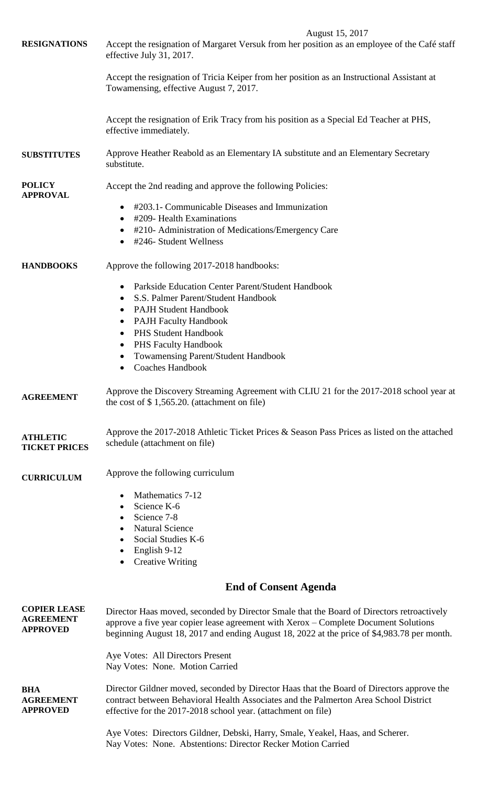|                                                            | August 15, 2017                                                                                                                                                                                                                                                                |  |  |
|------------------------------------------------------------|--------------------------------------------------------------------------------------------------------------------------------------------------------------------------------------------------------------------------------------------------------------------------------|--|--|
| <b>RESIGNATIONS</b>                                        | Accept the resignation of Margaret Versuk from her position as an employee of the Café staff<br>effective July 31, 2017.                                                                                                                                                       |  |  |
|                                                            | Accept the resignation of Tricia Keiper from her position as an Instructional Assistant at<br>Towamensing, effective August 7, 2017.                                                                                                                                           |  |  |
|                                                            | Accept the resignation of Erik Tracy from his position as a Special Ed Teacher at PHS,<br>effective immediately.                                                                                                                                                               |  |  |
| <b>SUBSTITUTES</b>                                         | Approve Heather Reabold as an Elementary IA substitute and an Elementary Secretary<br>substitute.                                                                                                                                                                              |  |  |
| <b>POLICY</b><br><b>APPROVAL</b>                           | Accept the 2nd reading and approve the following Policies:                                                                                                                                                                                                                     |  |  |
|                                                            | #203.1- Communicable Diseases and Immunization                                                                                                                                                                                                                                 |  |  |
|                                                            | #209- Health Examinations                                                                                                                                                                                                                                                      |  |  |
|                                                            | #210- Administration of Medications/Emergency Care<br>#246- Student Wellness                                                                                                                                                                                                   |  |  |
| <b>HANDBOOKS</b>                                           | Approve the following 2017-2018 handbooks:                                                                                                                                                                                                                                     |  |  |
|                                                            | Parkside Education Center Parent/Student Handbook                                                                                                                                                                                                                              |  |  |
|                                                            | S.S. Palmer Parent/Student Handbook<br>$\bullet$                                                                                                                                                                                                                               |  |  |
|                                                            | <b>PAJH Student Handbook</b><br>$\bullet$                                                                                                                                                                                                                                      |  |  |
|                                                            | <b>PAJH Faculty Handbook</b><br>$\bullet$                                                                                                                                                                                                                                      |  |  |
|                                                            | <b>PHS Student Handbook</b>                                                                                                                                                                                                                                                    |  |  |
|                                                            | <b>PHS Faculty Handbook</b><br>$\bullet$                                                                                                                                                                                                                                       |  |  |
|                                                            | <b>Towamensing Parent/Student Handbook</b><br><b>Coaches Handbook</b>                                                                                                                                                                                                          |  |  |
| <b>AGREEMENT</b>                                           | Approve the Discovery Streaming Agreement with CLIU 21 for the 2017-2018 school year at<br>the cost of $$1,565.20$ . (attachment on file)                                                                                                                                      |  |  |
| <b>ATHLETIC</b><br><b>TICKET PRICES</b>                    | Approve the $2017-2018$ Athletic Ticket Prices & Season Pass Prices as listed on the attached<br>schedule (attachment on file)                                                                                                                                                 |  |  |
| <b>CURRICULUM</b>                                          | Approve the following curriculum                                                                                                                                                                                                                                               |  |  |
|                                                            | Mathematics 7-12                                                                                                                                                                                                                                                               |  |  |
|                                                            | Science K-6                                                                                                                                                                                                                                                                    |  |  |
|                                                            | Science 7-8                                                                                                                                                                                                                                                                    |  |  |
|                                                            | <b>Natural Science</b>                                                                                                                                                                                                                                                         |  |  |
|                                                            | Social Studies K-6<br>English 9-12                                                                                                                                                                                                                                             |  |  |
|                                                            | <b>Creative Writing</b>                                                                                                                                                                                                                                                        |  |  |
|                                                            | <b>End of Consent Agenda</b>                                                                                                                                                                                                                                                   |  |  |
| <b>COPIER LEASE</b><br><b>AGREEMENT</b><br><b>APPROVED</b> | Director Haas moved, seconded by Director Smale that the Board of Directors retroactively<br>approve a five year copier lease agreement with Xerox – Complete Document Solutions<br>beginning August 18, 2017 and ending August 18, 2022 at the price of \$4,983.78 per month. |  |  |

Aye Votes: All Directors Present Nay Votes: None. Motion Carried

**BHA AGREEMENT APPROVED** Director Gildner moved, seconded by Director Haas that the Board of Directors approve the contract between Behavioral Health Associates and the Palmerton Area School District effective for the 2017-2018 school year. (attachment on file)

> Aye Votes: Directors Gildner, Debski, Harry, Smale, Yeakel, Haas, and Scherer. Nay Votes: None. Abstentions: Director Recker Motion Carried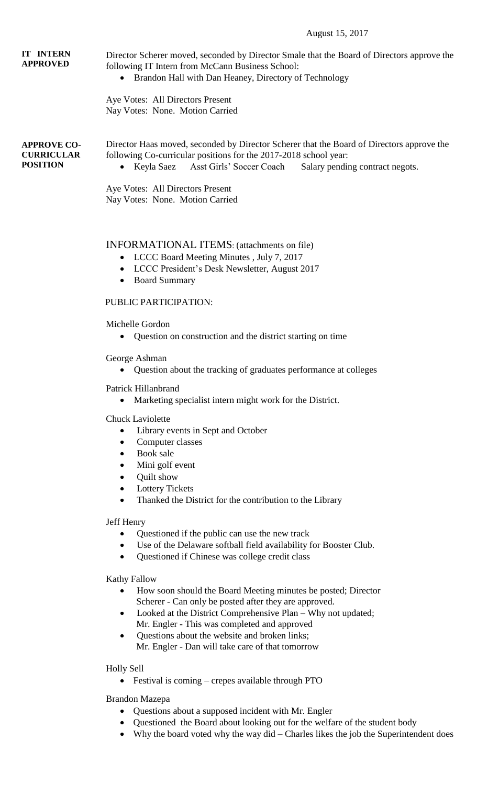#### August 15, 2017

## **IT INTERN APPROVED**

Director Scherer moved, seconded by Director Smale that the Board of Directors approve the following IT Intern from McCann Business School:

• Brandon Hall with Dan Heaney, Directory of Technology

Aye Votes: All Directors Present Nay Votes: None. Motion Carried

**APPROVE CO-CURRICULAR POSITION**

Director Haas moved, seconded by Director Scherer that the Board of Directors approve the following Co-curricular positions for the 2017-2018 school year:

• Keyla Saez Asst Girls' Soccer Coach Salary pending contract negots.

Aye Votes: All Directors Present Nay Votes: None. Motion Carried

## INFORMATIONAL ITEMS: (attachments on file)

- LCCC Board Meeting Minutes , July 7, 2017
- LCCC President's Desk Newsletter, August 2017
- Board Summary

## PUBLIC PARTICIPATION:

Michelle Gordon

Question on construction and the district starting on time

George Ashman

Question about the tracking of graduates performance at colleges

#### Patrick Hillanbrand

Marketing specialist intern might work for the District.

Chuck Laviolette

- Library events in Sept and October
- Computer classes
- Book sale
- Mini golf event
- Quilt show
- Lottery Tickets
- Thanked the District for the contribution to the Library

Jeff Henry

- Questioned if the public can use the new track
- Use of the Delaware softball field availability for Booster Club.
- Questioned if Chinese was college credit class

Kathy Fallow

- How soon should the Board Meeting minutes be posted; Director Scherer - Can only be posted after they are approved.
- Looked at the District Comprehensive Plan Why not updated; Mr. Engler - This was completed and approved
- Questions about the website and broken links; Mr. Engler - Dan will take care of that tomorrow

Holly Sell

• Festival is coming – crepes available through PTO

Brandon Mazepa

- Questions about a supposed incident with Mr. Engler
- Questioned the Board about looking out for the welfare of the student body
- Why the board voted why the way did Charles likes the job the Superintendent does